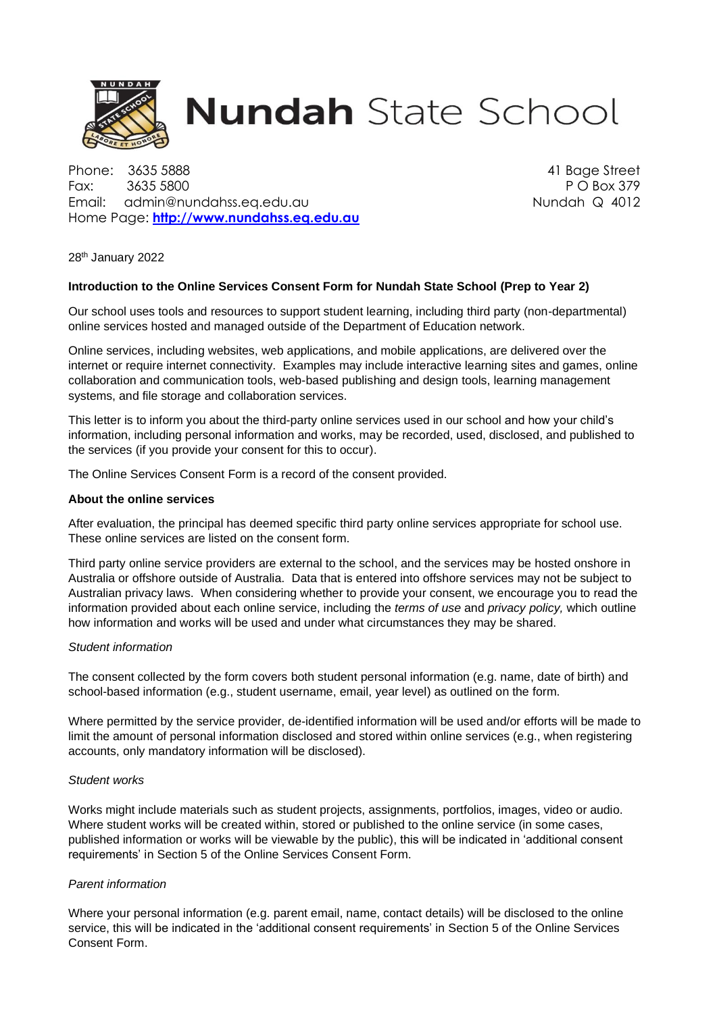

# **Nundah** State School

Phone: 3635 5888 41 Bage Street Fax: 3635 5800 P O Box 379 Email: admin@nundahss.eq.edu.au Nundah Q 4012 Home Page: **[http://www.nundahss.eq.edu.au](http://www.nundahss.qld.edu.au/)**

28th January 2022

# **Introduction to the Online Services Consent Form for Nundah State School (Prep to Year 2)**

Our school uses tools and resources to support student learning, including third party (non-departmental) online services hosted and managed outside of the Department of Education network.

Online services, including websites, web applications, and mobile applications, are delivered over the internet or require internet connectivity. Examples may include interactive learning sites and games, online collaboration and communication tools, web-based publishing and design tools, learning management systems, and file storage and collaboration services.

This letter is to inform you about the third-party online services used in our school and how your child's information, including personal information and works, may be recorded, used, disclosed, and published to the services (if you provide your consent for this to occur).

The Online Services Consent Form is a record of the consent provided.

## **About the online services**

After evaluation, the principal has deemed specific third party online services appropriate for school use. These online services are listed on the consent form.

Third party online service providers are external to the school, and the services may be hosted onshore in Australia or offshore outside of Australia. Data that is entered into offshore services may not be subject to Australian privacy laws. When considering whether to provide your consent, we encourage you to read the information provided about each online service, including the *terms of use* and *privacy policy,* which outline how information and works will be used and under what circumstances they may be shared.

## *Student information*

The consent collected by the form covers both student personal information (e.g. name, date of birth) and school-based information (e.g., student username, email, year level) as outlined on the form.

Where permitted by the service provider, de-identified information will be used and/or efforts will be made to limit the amount of personal information disclosed and stored within online services (e.g., when registering accounts, only mandatory information will be disclosed).

# *Student works*

Works might include materials such as student projects, assignments, portfolios, images, video or audio. Where student works will be created within, stored or published to the online service (in some cases, published information or works will be viewable by the public), this will be indicated in 'additional consent requirements' in Section 5 of the Online Services Consent Form.

# *Parent information*

Where your personal information (e.g. parent email, name, contact details) will be disclosed to the online service, this will be indicated in the 'additional consent requirements' in Section 5 of the Online Services Consent Form.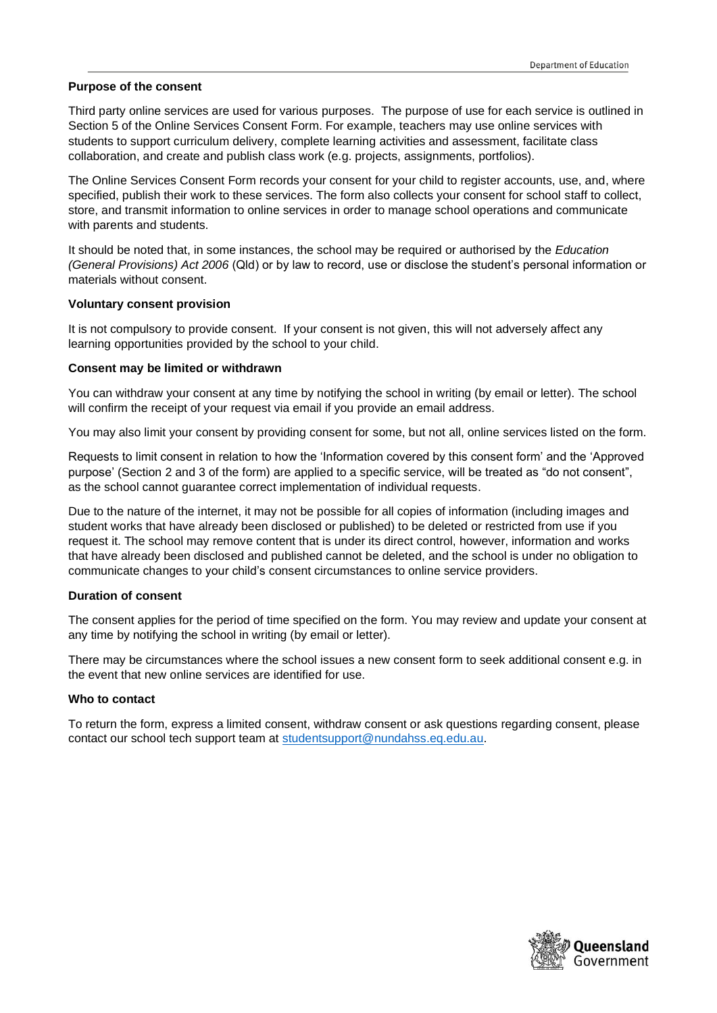# **Purpose of the consent**

Third party online services are used for various purposes. The purpose of use for each service is outlined in Section 5 of the Online Services Consent Form. For example, teachers may use online services with students to support curriculum delivery, complete learning activities and assessment, facilitate class collaboration, and create and publish class work (e.g. projects, assignments, portfolios).

The Online Services Consent Form records your consent for your child to register accounts, use, and, where specified, publish their work to these services. The form also collects your consent for school staff to collect, store, and transmit information to online services in order to manage school operations and communicate with parents and students.

It should be noted that, in some instances, the school may be required or authorised by the *Education (General Provisions) Act 2006* (Qld) or by law to record, use or disclose the student's personal information or materials without consent.

## **Voluntary consent provision**

It is not compulsory to provide consent. If your consent is not given, this will not adversely affect any learning opportunities provided by the school to your child.

## **Consent may be limited or withdrawn**

You can withdraw your consent at any time by notifying the school in writing (by email or letter). The school will confirm the receipt of your request via email if you provide an email address.

You may also limit your consent by providing consent for some, but not all, online services listed on the form.

Requests to limit consent in relation to how the 'Information covered by this consent form' and the 'Approved purpose' (Section 2 and 3 of the form) are applied to a specific service, will be treated as "do not consent", as the school cannot guarantee correct implementation of individual requests.

Due to the nature of the internet, it may not be possible for all copies of information (including images and student works that have already been disclosed or published) to be deleted or restricted from use if you request it. The school may remove content that is under its direct control, however, information and works that have already been disclosed and published cannot be deleted, and the school is under no obligation to communicate changes to your child's consent circumstances to online service providers.

# **Duration of consent**

The consent applies for the period of time specified on the form. You may review and update your consent at any time by notifying the school in writing (by email or letter).

There may be circumstances where the school issues a new consent form to seek additional consent e.g. in the event that new online services are identified for use.

### **Who to contact**

To return the form, express a limited consent, withdraw consent or ask questions regarding consent, please contact our school tech support team at [studentsupport@nundahss.eq.edu.au.](mailto:studentsupport@nundahss.eq.edu.au)

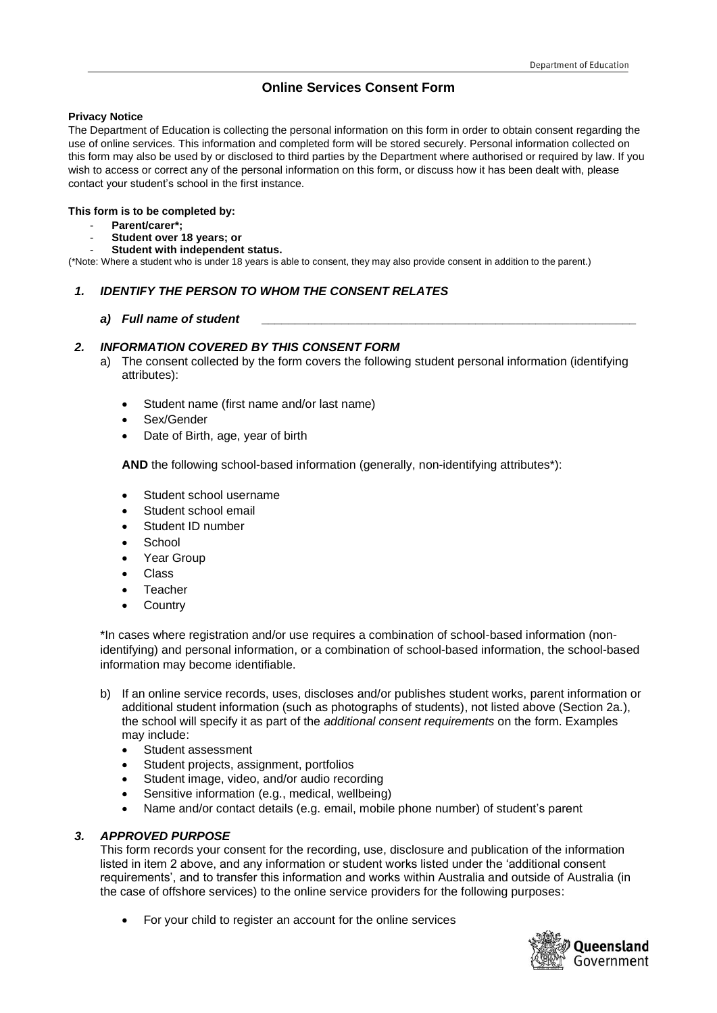# **Online Services Consent Form**

## **Privacy Notice**

The Department of Education is collecting the personal information on this form in order to obtain consent regarding the use of online services. This information and completed form will be stored securely. Personal information collected on this form may also be used by or disclosed to third parties by the Department where authorised or required by law. If you wish to access or correct any of the personal information on this form, or discuss how it has been dealt with, please contact your student's school in the first instance.

### **This form is to be completed by:**

- **Parent/carer\*;**
- **Student over 18 years; or**
- **Student with independent status.**

(\*Note: Where a student who is under 18 years is able to consent, they may also provide consent in addition to the parent.)

# *1. IDENTIFY THE PERSON TO WHOM THE CONSENT RELATES*

# *a) Full name of student \_\_\_\_\_\_\_\_\_\_\_\_\_\_\_\_\_\_\_\_\_\_\_\_\_\_\_\_\_\_\_\_\_\_\_\_\_\_\_\_\_\_\_\_\_\_\_\_\_\_\_\_\_\_\_\_*

# *2. INFORMATION COVERED BY THIS CONSENT FORM*

- a) The consent collected by the form covers the following student personal information (identifying attributes):
	- Student name (first name and/or last name)
	- Sex/Gender
	- Date of Birth, age, year of birth

**AND** the following school-based information (generally, non-identifying attributes\*):

- Student school username
- Student school email
- Student ID number
- **School**
- Year Group
- **Class**
- **Teacher**
- **Country**

\*In cases where registration and/or use requires a combination of school-based information (nonidentifying) and personal information, or a combination of school-based information, the school-based information may become identifiable.

- b) If an online service records, uses, discloses and/or publishes student works, parent information or additional student information (such as photographs of students), not listed above (Section 2a.), the school will specify it as part of the *additional consent requirements* on the form. Examples may include:
	- Student assessment
	- Student projects, assignment, portfolios
	- Student image, video, and/or audio recording
	- Sensitive information (e.g., medical, wellbeing)
	- Name and/or contact details (e.g. email, mobile phone number) of student's parent

# *3. APPROVED PURPOSE*

This form records your consent for the recording, use, disclosure and publication of the information listed in item 2 above, and any information or student works listed under the 'additional consent requirements', and to transfer this information and works within Australia and outside of Australia (in the case of offshore services) to the online service providers for the following purposes:

• For your child to register an account for the online services

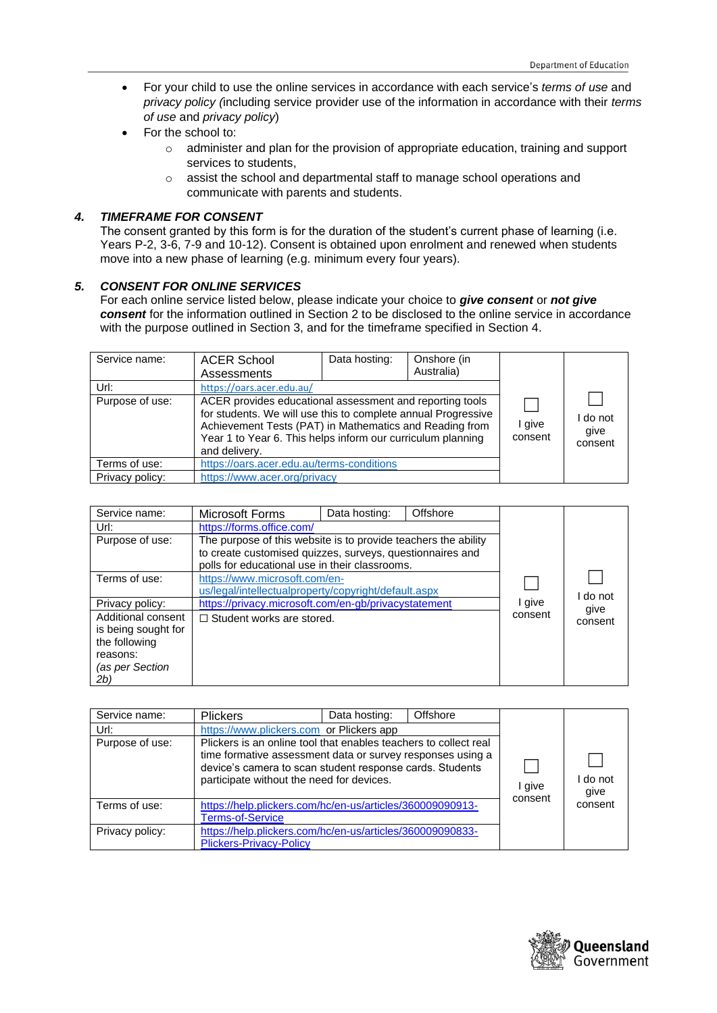- For your child to use the online services in accordance with each service's *terms of use* and *privacy policy (*including service provider use of the information in accordance with their *terms of use* and *privacy policy*)
- For the school to:
	- $\circ$  administer and plan for the provision of appropriate education, training and support services to students,
	- o assist the school and departmental staff to manage school operations and communicate with parents and students.

# *4. TIMEFRAME FOR CONSENT*

The consent granted by this form is for the duration of the student's current phase of learning (i.e. Years P-2, 3-6, 7-9 and 10-12). Consent is obtained upon enrolment and renewed when students move into a new phase of learning (e.g. minimum every four years).

# *5. CONSENT FOR ONLINE SERVICES*

For each online service listed below, please indicate your choice to *give consent* or *not give consent* for the information outlined in Section 2 to be disclosed to the online service in accordance with the purpose outlined in Section 3, and for the timeframe specified in Section 4.

| Service name:   | <b>ACER School</b><br>Assessments                                                                                                                                                                                                                                    | Data hosting: | Onshore (in<br>Australia) |                   |                             |
|-----------------|----------------------------------------------------------------------------------------------------------------------------------------------------------------------------------------------------------------------------------------------------------------------|---------------|---------------------------|-------------------|-----------------------------|
| Url:            | https://oars.acer.edu.au/                                                                                                                                                                                                                                            |               |                           |                   |                             |
| Purpose of use: | ACER provides educational assessment and reporting tools<br>for students. We will use this to complete annual Progressive<br>Achievement Tests (PAT) in Mathematics and Reading from<br>Year 1 to Year 6. This helps inform our curriculum planning<br>and delivery. |               |                           | l give<br>consent | I do not<br>qive<br>consent |
| Terms of use:   | https://oars.acer.edu.au/terms-conditions                                                                                                                                                                                                                            |               |                           |                   |                             |
| Privacy policy: | https://www.acer.org/privacy                                                                                                                                                                                                                                         |               |                           |                   |                             |

| Service name:       | Microsoft Forms                                                                                                                                                               | Data hosting: | Offshore |         |         |
|---------------------|-------------------------------------------------------------------------------------------------------------------------------------------------------------------------------|---------------|----------|---------|---------|
| Url:                | https://forms.office.com/                                                                                                                                                     |               |          |         |         |
| Purpose of use:     | The purpose of this website is to provide teachers the ability<br>to create customised quizzes, surveys, questionnaires and<br>polls for educational use in their classrooms. |               |          |         |         |
| Terms of use:       | https://www.microsoft.com/en-                                                                                                                                                 |               |          |         |         |
|                     | us/legal/intellectualproperty/copyright/default.aspx                                                                                                                          |               |          |         | do not  |
| Privacy policy:     | https://privacy.microsoft.com/en-gb/privacystatement                                                                                                                          |               |          | I give  | qive    |
| Additional consent  | $\Box$ Student works are stored.                                                                                                                                              |               |          | consent | consent |
| is being sought for |                                                                                                                                                                               |               |          |         |         |
| the following       |                                                                                                                                                                               |               |          |         |         |
| reasons:            |                                                                                                                                                                               |               |          |         |         |
| (as per Section     |                                                                                                                                                                               |               |          |         |         |
| 2b)                 |                                                                                                                                                                               |               |          |         |         |

| Service name:   | <b>Plickers</b>                                                                                                                                                                                                                         | Data hosting: | Offshore |                   |                |
|-----------------|-----------------------------------------------------------------------------------------------------------------------------------------------------------------------------------------------------------------------------------------|---------------|----------|-------------------|----------------|
| Url:            | https://www.plickers.com or Plickers app                                                                                                                                                                                                |               |          |                   |                |
| Purpose of use: | Plickers is an online tool that enables teachers to collect real<br>time formative assessment data or survey responses using a<br>device's camera to scan student response cards. Students<br>participate without the need for devices. |               |          | I give<br>consent | do not<br>qive |
| Terms of use:   | https://help.plickers.com/hc/en-us/articles/360009090913-<br><b>Terms-of-Service</b>                                                                                                                                                    |               |          |                   | consent        |
| Privacy policy: | https://help.plickers.com/hc/en-us/articles/360009090833-<br><b>Plickers-Privacy-Policy</b>                                                                                                                                             |               |          |                   |                |

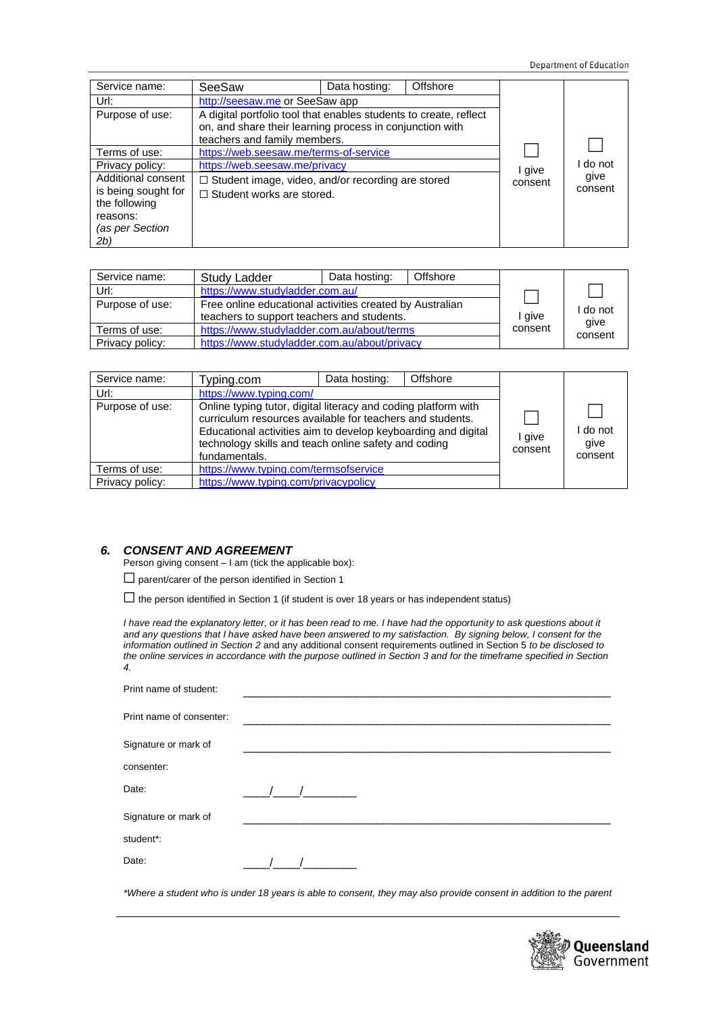| Service name:       | SeeSaw                                                            | Data hosting: | Offshore |         |         |
|---------------------|-------------------------------------------------------------------|---------------|----------|---------|---------|
| Url:                | http://seesaw.me or SeeSaw app                                    |               |          |         |         |
| Purpose of use:     | A digital portfolio tool that enables students to create, reflect |               |          |         |         |
|                     | on, and share their learning process in conjunction with          |               |          |         |         |
|                     | teachers and family members.                                      |               |          |         |         |
| Terms of use:       | https://web.seesaw.me/terms-of-service                            |               |          |         |         |
| Privacy policy:     | https://web.seesaw.me/privacy                                     |               |          | I give  | do not  |
| Additional consent  | $\Box$ Student image, video, and/or recording are stored          |               |          | consent | qive    |
| is being sought for | $\Box$ Student works are stored.                                  |               |          |         | consent |
| the following       |                                                                   |               |          |         |         |
| reasons:            |                                                                   |               |          |         |         |
| (as per Section     |                                                                   |               |          |         |         |
| 2b)                 |                                                                   |               |          |         |         |

| Service name:   | Study Ladder                                             | Data hosting: | Offshore |         |         |
|-----------------|----------------------------------------------------------|---------------|----------|---------|---------|
| Url:            | https://www.studyladder.com.au/                          |               |          |         |         |
| Purpose of use: | Free online educational activities created by Australian |               |          |         | do not  |
|                 | teachers to support teachers and students.               |               |          | I give  | give    |
| Terms of use:   | https://www.studyladder.com.au/about/terms               |               |          | consent | consent |
| Privacy policy: | https://www.studyladder.com.au/about/privacy             |               |          |         |         |

| Service name:   | Typing.com                                                                                                                                                                                                                                                            | Data hosting: | Offshore |                   |                           |
|-----------------|-----------------------------------------------------------------------------------------------------------------------------------------------------------------------------------------------------------------------------------------------------------------------|---------------|----------|-------------------|---------------------------|
| Url:            | https://www.typing.com/                                                                                                                                                                                                                                               |               |          |                   |                           |
| Purpose of use: | Online typing tutor, digital literacy and coding platform with<br>curriculum resources available for teachers and students.<br>Educational activities aim to develop keyboarding and digital<br>technology skills and teach online safety and coding<br>fundamentals. |               |          | I give<br>consent | do not<br>qive<br>consent |
| Terms of use:   | https://www.typing.com/termsofservice                                                                                                                                                                                                                                 |               |          |                   |                           |
| Privacy policy: | https://www.typing.com/privacypolicy                                                                                                                                                                                                                                  |               |          |                   |                           |

# *6. CONSENT AND AGREEMENT*

Person giving consent – I am (tick the applicable box):

□ parent/carer of the person identified in Section 1

 $\Box$  the person identified in Section 1 (if student is over 18 years or has independent status)

*I have read the explanatory letter, or it has been read to me. I have had the opportunity to ask questions about it and any questions that I have asked have been answered to my satisfaction. By signing below, I consent for the information outlined in Section 2* and any additional consent requirements outlined in Section 5 *to be disclosed to the online services in accordance with the purpose outlined in Section 3 and for the timeframe specified in Section 4.* 

| Print name of student:   |  |  |  |
|--------------------------|--|--|--|
| Print name of consenter: |  |  |  |
| Signature or mark of     |  |  |  |
| consenter:               |  |  |  |
| Date:                    |  |  |  |
| Signature or mark of     |  |  |  |
| student*:                |  |  |  |
| Date:                    |  |  |  |

*\*Where a student who is under 18 years is able to consent, they may also provide consent in addition to the parent*